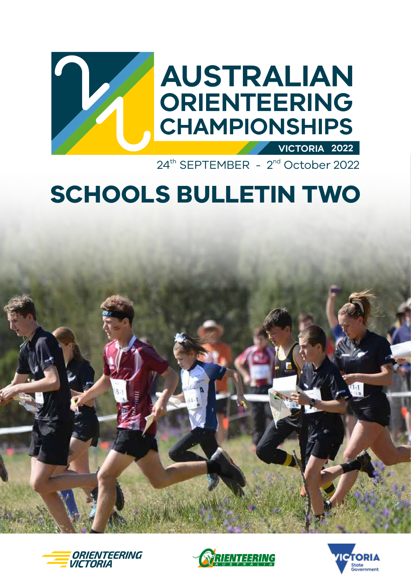

24<sup>th</sup> SEPTEMBER - 2<sup>nd</sup> October 2022

# **SCHOOLS BULLETIN TWO**







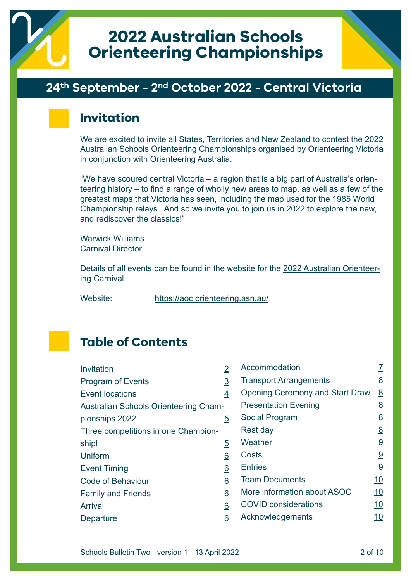

# **2022 Australian Schools Orienteering Championships**

#### **24th September - 2nd October 2022 - Central Victoria**

### **Invitation**

We are excited to invite all States, Territories and New Zealand to contest the 2022 Australian Schools Orienteering Championships organised by Orienteering Victoria in conjunction with Orienteering Australia.

"We have scoured central Victoria – a region that is a big part of Australia's orienteering history – to find a range of wholly new areas to map, as well as a few of the greatest maps that Victoria has seen, including the map used for the 1985 World Championship relays. And so we invite you to join us in 2022 to explore the new, and rediscover the classics!"

Warwick Williams Carnival Director

Details of all events can be found in the website for the [2022 Australian Orienteer](https://aoc.orienteering.asn.au/)[ing Carnival](https://aoc.orienteering.asn.au/)

Website: <https://aoc.orienteering.asn.au/>

# **Table of Contents**

| Invitation                            | 2              | Accommodation                          | <u>7</u>        |
|---------------------------------------|----------------|----------------------------------------|-----------------|
| <b>Program of Events</b>              | $\overline{3}$ | <b>Transport Arrangements</b>          | 8               |
| <b>Event locations</b>                | 4              | <b>Opening Ceremony and Start Draw</b> | 8               |
| Australian Schools Orienteering Cham- |                | <b>Presentation Evening</b>            | 8               |
| pionships 2022                        | $\overline{5}$ | Social Program                         | 8               |
| Three competitions in one Champion-   |                | Rest day                               | $\underline{8}$ |
| ship!                                 | $\overline{5}$ | Weather                                | 9               |
| <b>Uniform</b>                        | 6              | Costs                                  | 9               |
| <b>Event Timing</b>                   | 6              | <b>Entries</b>                         | 9               |
| <b>Code of Behaviour</b>              | 6              | <b>Team Documents</b>                  | <u>10</u>       |
| <b>Family and Friends</b>             | 6              | More information about ASOC            | <u>10</u>       |
| <b>Arrival</b>                        | 6              | <b>COVID considerations</b>            | <u>10</u>       |
| Departure                             | 6              | Acknowledgements                       | <u> 10</u>      |
|                                       |                |                                        |                 |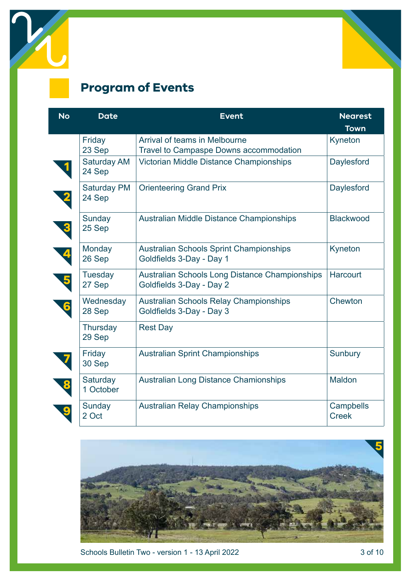<span id="page-2-0"></span>



# **Program of Events**

| <b>No</b>                | <b>Date</b>                  | <b>Event</b>                                                               | <b>Nearest</b>            |
|--------------------------|------------------------------|----------------------------------------------------------------------------|---------------------------|
|                          |                              |                                                                            | <b>Town</b>               |
|                          | Friday<br>23 Sep             | Arrival of teams in Melbourne<br>Travel to Campaspe Downs accommodation    | Kyneton                   |
|                          | <b>Saturday AM</b><br>24 Sep | Victorian Middle Distance Championships                                    | Daylesford                |
| 2                        | <b>Saturday PM</b><br>24 Sep | <b>Orienteering Grand Prix</b>                                             | Daylesford                |
| $\overline{\mathbf{3}}$  | Sunday<br>25 Sep             | Australian Middle Distance Championships                                   | Blackwood                 |
| $\overline{\mathbf{A}}$  | Monday<br>26 Sep             | <b>Australian Schools Sprint Championships</b><br>Goldfields 3-Day - Day 1 | Kyneton                   |
| $\overline{\phantom{a}}$ | Tuesday<br>27 Sep            | Australian Schools Long Distance Championships<br>Goldfields 3-Day - Day 2 | <b>Harcourt</b>           |
| 6                        | Wednesday<br>28 Sep          | <b>Australian Schools Relay Championships</b><br>Goldfields 3-Day - Day 3  | Chewton                   |
|                          | Thursday<br>29 Sep           | <b>Rest Day</b>                                                            |                           |
|                          | Friday<br>30 Sep             | <b>Australian Sprint Championships</b>                                     | Sunbury                   |
| 8                        | Saturday<br>1 October        | <b>Australian Long Distance Chamionships</b>                               | Maldon                    |
|                          | Sunday<br>2 Oct              | <b>Australian Relay Championships</b>                                      | Campbells<br><b>Creek</b> |



Schools Bulletin Two - version 1 - 13 April 2022 3 of 10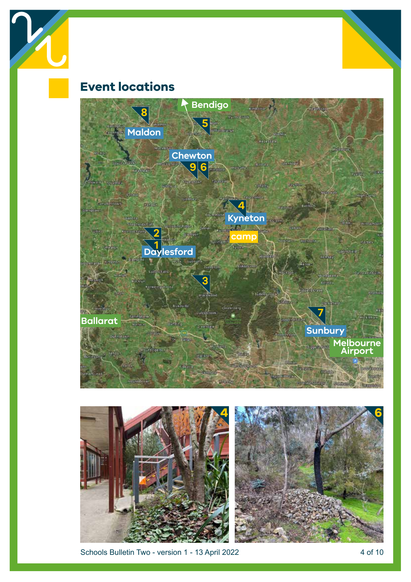<span id="page-3-0"></span>

# **Event locations**





Schools Bulletin Two - version 1 - 13 April 2022 4 of 10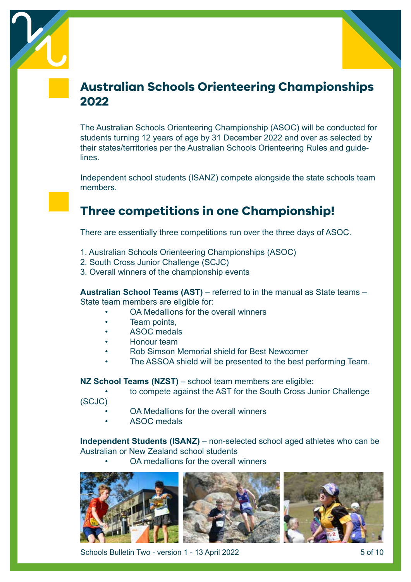<span id="page-4-0"></span>



# **Australian Schools Orienteering Championships 2022**

The Australian Schools Orienteering Championship (ASOC) will be conducted for students turning 12 years of age by 31 December 2022 and over as selected by their states/territories per the Australian Schools Orienteering Rules and guidelines.

Independent school students (ISANZ) compete alongside the state schools team members.

# **Three competitions in one Championship!**

There are essentially three competitions run over the three days of ASOC.

- 1. Australian Schools Orienteering Championships (ASOC)
- 2. South Cross Junior Challenge (SCJC)
- 3. Overall winners of the championship events

**Australian School Teams (AST)** – referred to in the manual as State teams – State team members are eligible for:

- OA Medallions for the overall winners
- Team points.
- ASOC medals
- Honour team
- Rob Simson Memorial shield for Best Newcomer
- The ASSOA shield will be presented to the best performing Team.

**NZ School Teams (NZST)** – school team members are eligible:

- to compete against the AST for the South Cross Junior Challenge
- (SCJC)
	- OA Medallions for the overall winners
	- ASOC medals

**Independent Students (ISANZ)** – non-selected school aged athletes who can be Australian or New Zealand school students

• OA medallions for the overall winners



Schools Bulletin Two - version 1 - 13 April 2022 5 of 10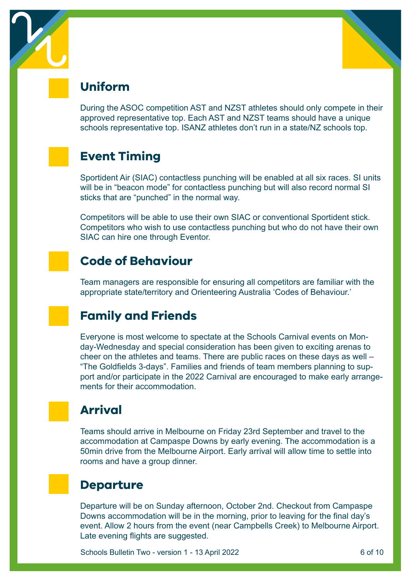<span id="page-5-0"></span>



# **Uniform**

During the ASOC competition AST and NZST athletes should only compete in their approved representative top. Each AST and NZST teams should have a unique schools representative top. ISANZ athletes don't run in a state/NZ schools top.

# **Event Timing**

Sportident Air (SIAC) contactless punching will be enabled at all six races. SI units will be in "beacon mode" for contactless punching but will also record normal SI sticks that are "punched" in the normal way.

Competitors will be able to use their own SIAC or conventional Sportident stick. Competitors who wish to use contactless punching but who do not have their own SIAC can hire one through Eventor.

# **Code of Behaviour**

Team managers are responsible for ensuring all competitors are familiar with the appropriate state/territory and Orienteering Australia 'Codes of Behaviour.'

# **Family and Friends**

Everyone is most welcome to spectate at the Schools Carnival events on Monday-Wednesday and special consideration has been given to exciting arenas to cheer on the athletes and teams. There are public races on these days as well – "The Goldfields 3-days". Families and friends of team members planning to support and/or participate in the 2022 Carnival are encouraged to make early arrangements for their accommodation.

# **Arrival**

Teams should arrive in Melbourne on Friday 23rd September and travel to the accommodation at Campaspe Downs by early evening. The accommodation is a 50min drive from the Melbourne Airport. Early arrival will allow time to settle into rooms and have a group dinner.

#### **Departure**

Departure will be on Sunday afternoon, October 2nd. Checkout from Campaspe Downs accommodation will be in the morning, prior to leaving for the final day's event. Allow 2 hours from the event (near Campbells Creek) to Melbourne Airport. Late evening flights are suggested.

Schools Bulletin Two - version 1 - 13 April 2022 6 of 10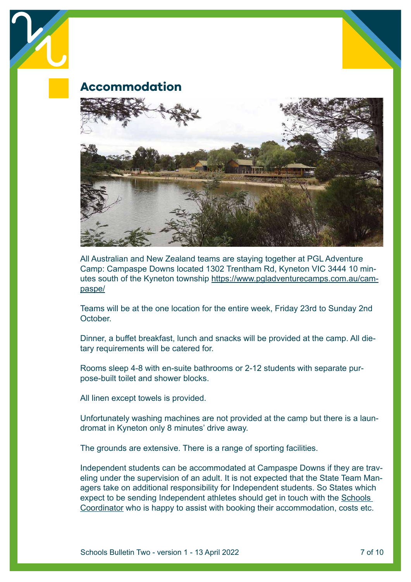<span id="page-6-0"></span>

**Accommodation**



All Australian and New Zealand teams are staying together at PGL Adventure Camp: Campaspe Downs located 1302 Trentham Rd, Kyneton VIC 3444 10 minutes south of the Kyneton township [https://www.pgladventurecamps.com.au/cam](https://www.pgladventurecamps.com.au/campaspe/)[paspe/](https://www.pgladventurecamps.com.au/campaspe/)

Teams will be at the one location for the entire week, Friday 23rd to Sunday 2nd **October** 

Dinner, a buffet breakfast, lunch and snacks will be provided at the camp. All dietary requirements will be catered for.

Rooms sleep 4-8 with en-suite bathrooms or 2-12 students with separate purpose-built toilet and shower blocks.

All linen except towels is provided.

Unfortunately washing machines are not provided at the camp but there is a laundromat in Kyneton only 8 minutes' drive away.

The grounds are extensive. There is a range of sporting facilities.

Independent students can be accommodated at Campaspe Downs if they are traveling under the supervision of an adult. It is not expected that the State Team Managers take on additional responsibility for Independent students. So States which expect to be sending Independent athletes should get in touch with the [Schools](mailto:susan_guinane%40limebridge.com.au?subject=ASOC%20enquiry)  [Coordinator](mailto:susan_guinane%40limebridge.com.au?subject=ASOC%20enquiry) who is happy to assist with booking their accommodation, costs etc.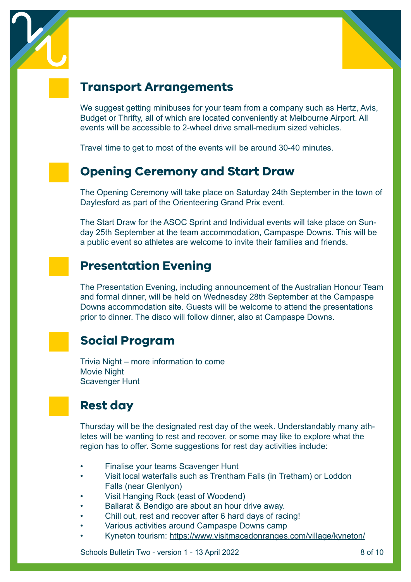<span id="page-7-0"></span>



### **Transport Arrangements**

We suggest getting minibuses for your team from a company such as Hertz, Avis, Budget or Thrifty, all of which are located conveniently at Melbourne Airport. All events will be accessible to 2-wheel drive small-medium sized vehicles.

Travel time to get to most of the events will be around 30-40 minutes.

# **Opening Ceremony and Start Draw**

The Opening Ceremony will take place on Saturday 24th September in the town of Daylesford as part of the Orienteering Grand Prix event.

The Start Draw for the ASOC Sprint and Individual events will take place on Sunday 25th September at the team accommodation, Campaspe Downs. This will be a public event so athletes are welcome to invite their families and friends.

# **Presentation Evening**

The Presentation Evening, including announcement of the Australian Honour Team and formal dinner, will be held on Wednesday 28th September at the Campaspe Downs accommodation site. Guests will be welcome to attend the presentations prior to dinner. The disco will follow dinner, also at Campaspe Downs.

# **Social Program**

Trivia Night – more information to come Movie Night Scavenger Hunt

# **Rest day**

Thursday will be the designated rest day of the week. Understandably many athletes will be wanting to rest and recover, or some may like to explore what the region has to offer. Some suggestions for rest day activities include:

- Finalise your teams Scavenger Hunt
- Visit local waterfalls such as Trentham Falls (in Tretham) or Loddon Falls (near Glenlyon)
- Visit Hanging Rock (east of Woodend)
- Ballarat & Bendigo are about an hour drive away.
- Chill out, rest and recover after 6 hard days of racing!
- Various activities around Campaspe Downs camp
- Kyneton tourism: [https://www.visitmacedonranges.com/village/kyneton/](https://www.visitmacedonranges.com/village/kyneton/ )

Schools Bulletin Two - version 1 - 13 April 2022 8 of 10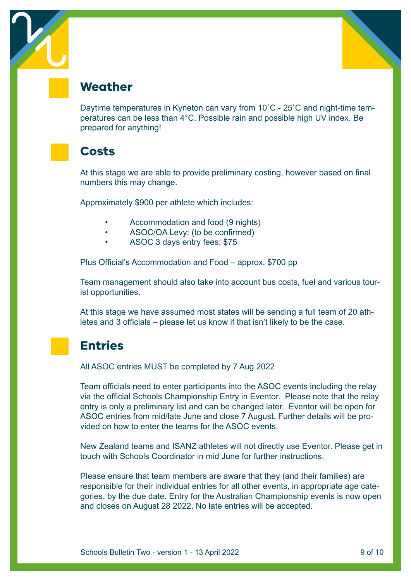<span id="page-8-0"></span>



#### **Weather**

Daytime temperatures in Kyneton can vary from 10˚C - 25˚C and night-time temperatures can be less than 4°C. Possible rain and possible high UV index. Be prepared for anything!

#### **Costs**

At this stage we are able to provide preliminary costing, however based on final numbers this may change.

Approximately \$900 per athlete which includes:

- Accommodation and food (9 nights)
- ASOC/OA Levy: (to be confirmed)
- ASOC 3 days entry fees: \$75

Plus Official's Accommodation and Food – approx. \$700 pp

Team management should also take into account bus costs, fuel and various tourist opportunities.

At this stage we have assumed most states will be sending a full team of 20 athletes and 3 officials – please let us know if that isn't likely to be the case.

### **Entries**

All ASOC entries MUST be completed by 7 Aug 2022

Team officials need to enter participants into the ASOC events including the relay via the official Schools Championship Entry in Eventor. Please note that the relay entry is only a preliminary list and can be changed later. Eventor will be open for ASOC entries from mid/late June and close 7 August. Further details will be provided on how to enter the teams for the ASOC events.

New Zealand teams and ISANZ athletes will not directly use Eventor. Please get in touch with Schools Coordinator in mid June for further instructions.

Please ensure that team members are aware that they (and their families) are responsible for their individual entries for all other events, in appropriate age categories, by the due date. Entry for the Australian Championship events is now open and closes on August 28 2022. No late entries will be accepted.